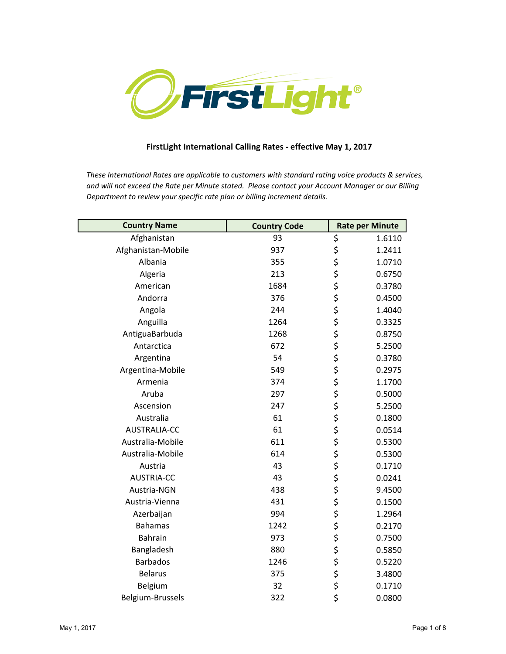

## **FirstLight International Calling Rates - effective May 1, 2017**

*These International Rates are applicable to customers with standard rating voice products & services, and will not exceed the Rate per Minute stated. Please contact your Account Manager or our Billing Department to review your specific rate plan or billing increment details.*

| <b>Country Name</b> | <b>Country Code</b> |                                     | <b>Rate per Minute</b> |
|---------------------|---------------------|-------------------------------------|------------------------|
| Afghanistan         | 93                  | \$                                  | 1.6110                 |
| Afghanistan-Mobile  | 937                 |                                     | 1.2411                 |
| Albania             | 355                 |                                     | 1.0710                 |
| Algeria             | 213                 |                                     | 0.6750                 |
| American            | 1684                |                                     | 0.3780                 |
| Andorra             | 376                 |                                     | 0.4500                 |
| Angola              | 244                 |                                     | 1.4040                 |
| Anguilla            | 1264                |                                     | 0.3325                 |
| AntiguaBarbuda      | 1268                |                                     | 0.8750                 |
| Antarctica          | 672                 |                                     | 5.2500                 |
| Argentina           | 54                  |                                     | 0.3780                 |
| Argentina-Mobile    | 549                 |                                     | 0.2975                 |
| Armenia             | 374                 |                                     | 1.1700                 |
| Aruba               | 297                 |                                     | 0.5000                 |
| Ascension           | 247                 |                                     | 5.2500                 |
| Australia           | 61                  |                                     | 0.1800                 |
| AUSTRALIA-CC        | 61                  |                                     | 0.0514                 |
| Australia-Mobile    | 611                 |                                     | 0.5300                 |
| Australia-Mobile    | 614                 |                                     | 0.5300                 |
| Austria             | 43                  |                                     | 0.1710                 |
| <b>AUSTRIA-CC</b>   | 43                  |                                     | 0.0241                 |
| Austria-NGN         | 438                 |                                     | 9.4500                 |
| Austria-Vienna      | 431                 |                                     | 0.1500                 |
| Azerbaijan          | 994                 |                                     | 1.2964                 |
| <b>Bahamas</b>      | 1242                |                                     | 0.2170                 |
| <b>Bahrain</b>      | 973                 |                                     | 0.7500                 |
| Bangladesh          | 880                 |                                     | 0.5850                 |
| <b>Barbados</b>     | 1246                | や そうそう そうそう そうそう そうそう そうそう そうそう そうさ | 0.5220                 |
| <b>Belarus</b>      | 375                 |                                     | 3.4800                 |
| Belgium             | 32                  |                                     | 0.1710                 |
| Belgium-Brussels    | 322                 |                                     | 0.0800                 |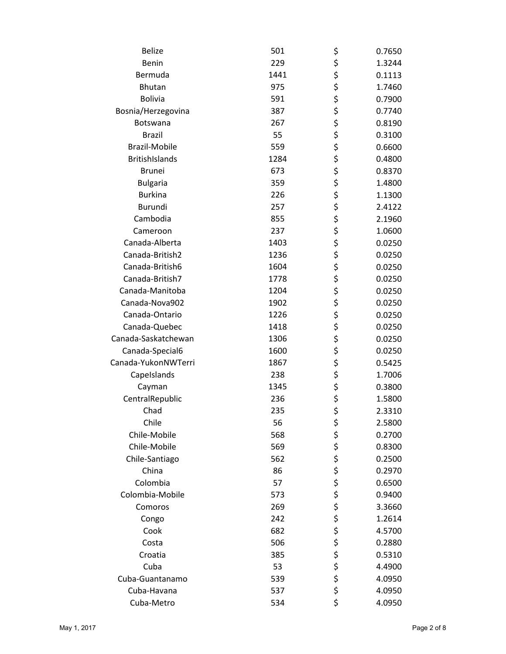| <b>Belize</b>         | 501  | \$       | 0.7650 |
|-----------------------|------|----------|--------|
| Benin                 | 229  | \$       | 1.3244 |
| Bermuda               | 1441 | \$       | 0.1113 |
| <b>Bhutan</b>         | 975  | \$       | 1.7460 |
| <b>Bolivia</b>        | 591  | \$<br>\$ | 0.7900 |
| Bosnia/Herzegovina    | 387  |          | 0.7740 |
| <b>Botswana</b>       | 267  | \$       | 0.8190 |
| <b>Brazil</b>         | 55   | \$       | 0.3100 |
| <b>Brazil-Mobile</b>  | 559  | \$       | 0.6600 |
| <b>BritishIslands</b> | 1284 | \$       | 0.4800 |
| <b>Brunei</b>         | 673  | \$       | 0.8370 |
| <b>Bulgaria</b>       | 359  | \$       | 1.4800 |
| <b>Burkina</b>        | 226  | \$       | 1.1300 |
| <b>Burundi</b>        | 257  | \$       | 2.4122 |
| Cambodia              | 855  | \$       | 2.1960 |
| Cameroon              | 237  | \$       | 1.0600 |
| Canada-Alberta        | 1403 | \$       | 0.0250 |
| Canada-British2       | 1236 | \$       | 0.0250 |
| Canada-British6       | 1604 | \$       | 0.0250 |
| Canada-British7       | 1778 | \$       | 0.0250 |
| Canada-Manitoba       | 1204 | \$       | 0.0250 |
| Canada-Nova902        | 1902 | \$       | 0.0250 |
| Canada-Ontario        | 1226 | \$       | 0.0250 |
| Canada-Quebec         | 1418 | \$       | 0.0250 |
| Canada-Saskatchewan   | 1306 | \$       | 0.0250 |
| Canada-Special6       | 1600 | \$       | 0.0250 |
| Canada-YukonNWTerri   | 1867 | \$       | 0.5425 |
| Capelslands           | 238  | \$       | 1.7006 |
| Cayman                | 1345 | \$       | 0.3800 |
| CentralRepublic       | 236  | \$       | 1.5800 |
| Chad                  | 235  | \$       | 2.3310 |
| Chile                 | 56   | \$       | 2.5800 |
| Chile-Mobile          | 568  | \$       | 0.2700 |
| Chile-Mobile          | 569  | \$       | 0.8300 |
| Chile-Santiago        | 562  | \$       | 0.2500 |
| China                 | 86   | \$       | 0.2970 |
| Colombia              | 57   | \$       | 0.6500 |
| Colombia-Mobile       | 573  |          | 0.9400 |
| Comoros               | 269  | \$<br>\$ | 3.3660 |
| Congo                 | 242  | \$       | 1.2614 |
| Cook                  | 682  | \$       | 4.5700 |
| Costa                 | 506  |          | 0.2880 |
| Croatia               | 385  | \$<br>\$ | 0.5310 |
| Cuba                  | 53   | \$       | 4.4900 |
| Cuba-Guantanamo       | 539  | \$       | 4.0950 |
| Cuba-Havana           | 537  | \$       | 4.0950 |
| Cuba-Metro            | 534  | \$       | 4.0950 |
|                       |      |          |        |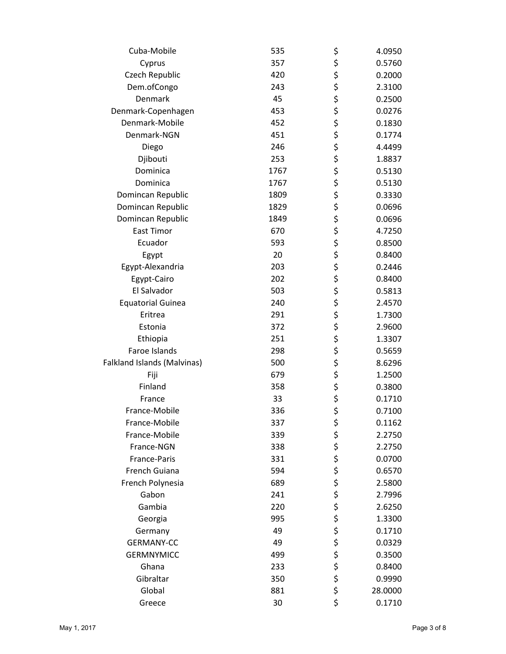| Cuba-Mobile                 | 535  | \$       | 4.0950  |
|-----------------------------|------|----------|---------|
| Cyprus                      | 357  | \$       | 0.5760  |
| Czech Republic              | 420  | \$       | 0.2000  |
| Dem.ofCongo                 | 243  | \$       | 2.3100  |
| Denmark                     | 45   | \$<br>\$ | 0.2500  |
| Denmark-Copenhagen          | 453  |          | 0.0276  |
| Denmark-Mobile              | 452  | \$       | 0.1830  |
| Denmark-NGN                 | 451  | \$<br>\$ | 0.1774  |
| Diego                       | 246  |          | 4.4499  |
| Djibouti                    | 253  | \$       | 1.8837  |
| Dominica                    | 1767 | \$       | 0.5130  |
| Dominica                    | 1767 | \$       | 0.5130  |
| Domincan Republic           | 1809 | \$<br>\$ | 0.3330  |
| Domincan Republic           | 1829 |          | 0.0696  |
| Domincan Republic           | 1849 |          | 0.0696  |
| <b>East Timor</b>           | 670  | \$\$\$   | 4.7250  |
| Ecuador                     | 593  |          | 0.8500  |
| Egypt                       | 20   | \$       | 0.8400  |
| Egypt-Alexandria            | 203  | \$       | 0.2446  |
| Egypt-Cairo                 | 202  |          | 0.8400  |
| El Salvador                 | 503  | \$<br>\$ | 0.5813  |
| <b>Equatorial Guinea</b>    | 240  | \$       | 2.4570  |
| Eritrea                     | 291  | \$       | 1.7300  |
| Estonia                     | 372  | \$       | 2.9600  |
| Ethiopia                    | 251  | \$       | 1.3307  |
| Faroe Islands               | 298  | \$       | 0.5659  |
| Falkland Islands (Malvinas) | 500  |          | 8.6296  |
| Fiji                        | 679  | \$<br>\$ | 1.2500  |
| Finland                     | 358  | \$       | 0.3800  |
| France                      | 33   | \$       | 0.1710  |
| France-Mobile               | 336  | \$       | 0.7100  |
| France-Mobile               | 337  | \$       | 0.1162  |
| France-Mobile               | 339  |          | 2.2750  |
| France-NGN                  | 338  | \$\$\$\$ | 2.2750  |
| France-Paris                | 331  |          | 0.0700  |
| French Guiana               | 594  |          | 0.6570  |
| French Polynesia            | 689  | \$       | 2.5800  |
| Gabon                       | 241  | \$       | 2.7996  |
| Gambia                      | 220  |          | 2.6250  |
| Georgia                     | 995  | \$<br>\$ | 1.3300  |
| Germany                     | 49   |          | 0.1710  |
| <b>GERMANY-CC</b>           | 49   | \$\$\$   | 0.0329  |
| <b>GERMNYMICC</b>           | 499  |          | 0.3500  |
| Ghana                       | 233  | \$       | 0.8400  |
| Gibraltar                   | 350  | \$       | 0.9990  |
| Global                      | 881  | \$       | 28.0000 |
| Greece                      | 30   | \$       | 0.1710  |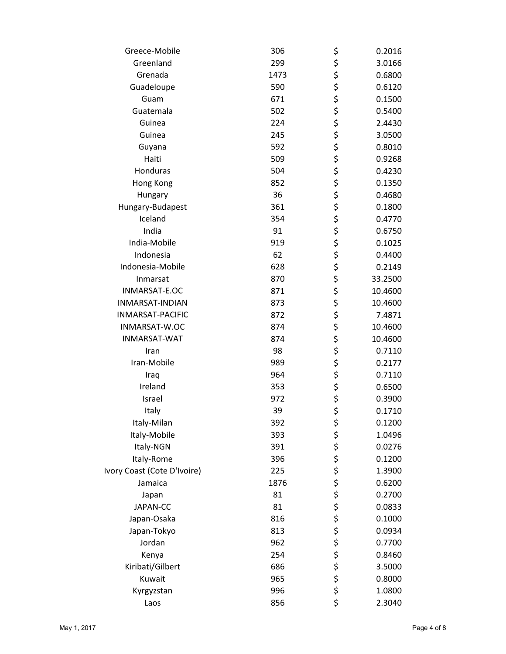| Greece-Mobile               | 306  | \$            | 0.2016  |
|-----------------------------|------|---------------|---------|
| Greenland                   | 299  |               | 3.0166  |
| Grenada                     | 1473 |               | 0.6800  |
| Guadeloupe                  | 590  |               | 0.6120  |
| Guam                        | 671  | ぐぐみか          | 0.1500  |
| Guatemala                   | 502  |               | 0.5400  |
| Guinea                      | 224  |               | 2.4430  |
| Guinea                      | 245  |               | 3.0500  |
| Guyana                      | 592  |               | 0.8010  |
| Haiti                       | 509  | やややな ややや      | 0.9268  |
| Honduras                    | 504  |               | 0.4230  |
| Hong Kong                   | 852  |               | 0.1350  |
| Hungary                     | 36   |               | 0.4680  |
| Hungary-Budapest            | 361  |               | 0.1800  |
| Iceland                     | 354  |               | 0.4770  |
| India                       | 91   |               | 0.6750  |
| India-Mobile                | 919  | ぐそみ           | 0.1025  |
| Indonesia                   | 62   |               | 0.4400  |
| Indonesia-Mobile            | 628  |               | 0.2149  |
| Inmarsat                    | 870  |               | 33.2500 |
| INMARSAT-E.OC               | 871  | \$<br>\$      | 10.4600 |
| INMARSAT-INDIAN             | 873  |               | 10.4600 |
| <b>INMARSAT-PACIFIC</b>     | 872  |               | 7.4871  |
| INMARSAT-W.OC               | 874  |               | 10.4600 |
| INMARSAT-WAT                | 874  | \$ \$ \$ \$   | 10.4600 |
| Iran                        | 98   | \$            | 0.7110  |
| Iran-Mobile                 | 989  |               | 0.2177  |
| Iraq                        | 964  |               | 0.7110  |
| Ireland                     | 353  |               | 0.6500  |
| Israel                      | 972  | \$\$\$\$      | 0.3900  |
| Italy                       | 39   | \$            | 0.1710  |
| Italy-Milan                 | 392  |               | 0.1200  |
| Italy-Mobile                | 393  |               | 1.0496  |
| Italy-NGN                   | 391  |               | 0.0276  |
| Italy-Rome                  | 396  |               | 0.1200  |
| Ivory Coast (Cote D'Ivoire) | 225  |               | 1.3900  |
| Jamaica                     | 1876 |               | 0.6200  |
| Japan                       | 81   |               | 0.2700  |
| JAPAN-CC                    | 81   |               | 0.0833  |
| Japan-Osaka                 | 816  |               | 0.1000  |
| Japan-Tokyo                 | 813  |               | 0.0934  |
| Jordan                      | 962  |               | 0.7700  |
| Kenya                       | 254  |               | 0.8460  |
| Kiribati/Gilbert            | 686  | やややそややややややややや | 3.5000  |
| Kuwait                      | 965  |               | 0.8000  |
| Kyrgyzstan                  | 996  |               | 1.0800  |
| Laos                        | 856  | \$            | 2.3040  |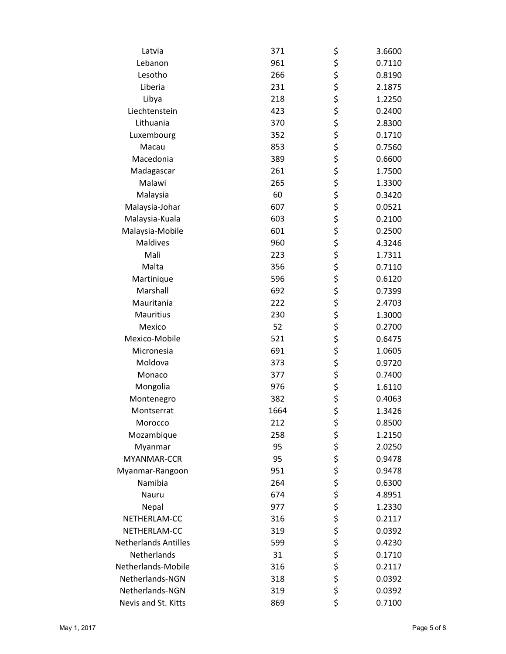| Latvia                      | 371  | \$     | 3.6600 |
|-----------------------------|------|--------|--------|
| Lebanon                     | 961  | \$     | 0.7110 |
| Lesotho                     | 266  | \$     | 0.8190 |
| Liberia                     | 231  | \$     | 2.1875 |
| Libya                       | 218  | \$     | 1.2250 |
| Liechtenstein               | 423  | \$     | 0.2400 |
| Lithuania                   | 370  | \$     | 2.8300 |
| Luxembourg                  | 352  | \$     | 0.1710 |
| Macau                       | 853  | \$     | 0.7560 |
| Macedonia                   | 389  | \$     | 0.6600 |
| Madagascar                  | 261  | \$     | 1.7500 |
| Malawi                      | 265  | \$     | 1.3300 |
| Malaysia                    | 60   | \$     | 0.3420 |
| Malaysia-Johar              | 607  | \$     | 0.0521 |
| Malaysia-Kuala              | 603  | \$     | 0.2100 |
| Malaysia-Mobile             | 601  | \$     | 0.2500 |
| <b>Maldives</b>             | 960  | \$     | 4.3246 |
| Mali                        | 223  | \$     | 1.7311 |
| Malta                       | 356  | \$     | 0.7110 |
| Martinique                  | 596  | \$     | 0.6120 |
| Marshall                    | 692  | \$     | 0.7399 |
| Mauritania                  | 222  | \$     | 2.4703 |
| Mauritius                   | 230  | \$     | 1.3000 |
| Mexico                      | 52   | \$     | 0.2700 |
| Mexico-Mobile               | 521  | \$     | 0.6475 |
| Micronesia                  | 691  | \$     | 1.0605 |
| Moldova                     | 373  | \$     | 0.9720 |
| Monaco                      | 377  | \$     | 0.7400 |
| Mongolia                    | 976  | \$     | 1.6110 |
| Montenegro                  | 382  | \$     | 0.4063 |
| Montserrat                  | 1664 | \$     | 1.3426 |
| Morocco                     | 212  | \$     | 0.8500 |
| Mozambique                  | 258  | \$     | 1.2150 |
| Myanmar                     | 95   |        | 2.0250 |
| MYANMAR-CCR                 | 95   | \$\$\$ | 0.9478 |
| Myanmar-Rangoon             | 951  |        | 0.9478 |
| Namibia                     | 264  | \$\$\$ | 0.6300 |
| Nauru                       | 674  |        | 4.8951 |
| Nepal                       | 977  |        | 1.2330 |
| NETHERLAM-CC                | 316  | \$     | 0.2117 |
| NETHERLAM-CC                | 319  |        | 0.0392 |
| <b>Netherlands Antilles</b> | 599  |        | 0.4230 |
| Netherlands                 | 31   |        | 0.1710 |
| Netherlands-Mobile          | 316  | ちちち    | 0.2117 |
| Netherlands-NGN             | 318  | \$     | 0.0392 |
| Netherlands-NGN             | 319  | \$     | 0.0392 |
| Nevis and St. Kitts         | 869  | \$     | 0.7100 |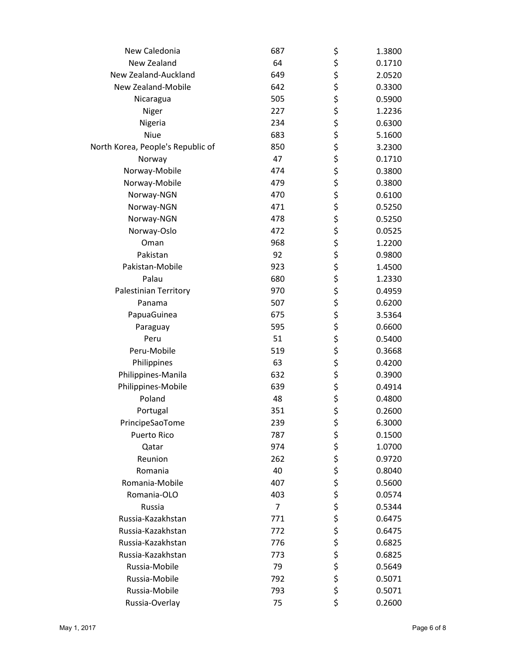| New Caledonia                     | 687 | \$               | 1.3800 |
|-----------------------------------|-----|------------------|--------|
| New Zealand                       | 64  | \$               | 0.1710 |
| New Zealand-Auckland              | 649 | \$               | 2.0520 |
| New Zealand-Mobile                | 642 | \$               | 0.3300 |
| Nicaragua                         | 505 |                  | 0.5900 |
| Niger                             | 227 |                  | 1.2236 |
| Nigeria                           | 234 |                  | 0.6300 |
| Niue                              | 683 |                  | 5.1600 |
| North Korea, People's Republic of | 850 |                  | 3.2300 |
| Norway                            | 47  | やややす             | 0.1710 |
| Norway-Mobile                     | 474 |                  | 0.3800 |
| Norway-Mobile                     | 479 |                  | 0.3800 |
| Norway-NGN                        | 470 |                  | 0.6100 |
| Norway-NGN                        | 471 |                  | 0.5250 |
| Norway-NGN                        | 478 |                  | 0.5250 |
| Norway-Oslo                       | 472 |                  | 0.0525 |
| Oman                              | 968 |                  | 1.2200 |
| Pakistan                          | 92  |                  | 0.9800 |
| Pakistan-Mobile                   | 923 |                  | 1.4500 |
| Palau                             | 680 |                  | 1.2330 |
| Palestinian Territory             | 970 |                  | 0.4959 |
| Panama                            | 507 |                  | 0.6200 |
| PapuaGuinea                       | 675 |                  | 3.5364 |
| Paraguay                          | 595 |                  | 0.6600 |
| Peru                              | 51  |                  | 0.5400 |
| Peru-Mobile                       | 519 | やそそそそそそそそそそそそそそそ | 0.3668 |
| Philippines                       | 63  |                  | 0.4200 |
| Philippines-Manila                | 632 |                  | 0.3900 |
| Philippines-Mobile                | 639 | \$               | 0.4914 |
| Poland                            | 48  | \$<br>\$         | 0.4800 |
| Portugal                          | 351 |                  | 0.2600 |
| PrincipeSaoTome                   | 239 | \$               | 6.3000 |
| <b>Puerto Rico</b>                | 787 |                  | 0.1500 |
| Qatar                             | 974 |                  | 1.0700 |
| Reunion                           | 262 |                  | 0.9720 |
| Romania                           | 40  |                  | 0.8040 |
| Romania-Mobile                    | 407 |                  | 0.5600 |
| Romania-OLO                       | 403 |                  | 0.0574 |
| Russia                            | 7   |                  | 0.5344 |
| Russia-Kazakhstan                 | 771 |                  | 0.6475 |
| Russia-Kazakhstan                 | 772 |                  | 0.6475 |
| Russia-Kazakhstan                 | 776 |                  | 0.6825 |
| Russia-Kazakhstan                 | 773 |                  | 0.6825 |
| Russia-Mobile                     | 79  | ややややややややややややや    | 0.5649 |
| Russia-Mobile                     | 792 |                  | 0.5071 |
| Russia-Mobile                     | 793 |                  | 0.5071 |
| Russia-Overlay                    | 75  | \$               | 0.2600 |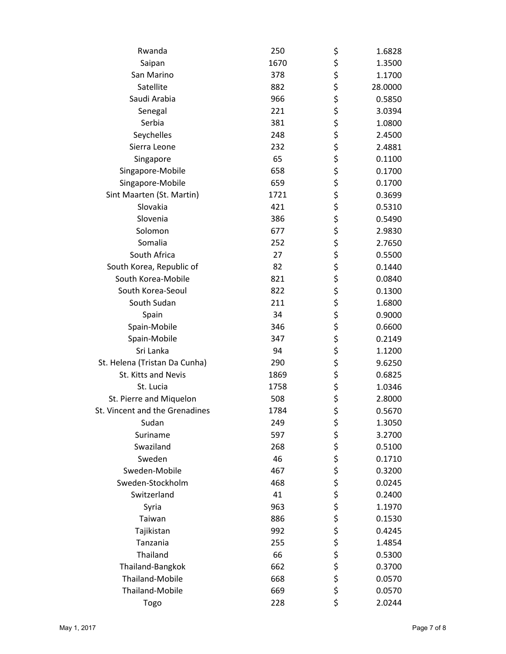| Rwanda                         | 250  | \$          | 1.6828  |
|--------------------------------|------|-------------|---------|
| Saipan                         | 1670 | \$          | 1.3500  |
| San Marino                     | 378  |             | 1.1700  |
| Satellite                      | 882  | \$<br>\$    | 28.0000 |
| Saudi Arabia                   | 966  |             | 0.5850  |
| Senegal                        | 221  | \$<br>\$    | 3.0394  |
| Serbia                         | 381  | \$          | 1.0800  |
| Seychelles                     | 248  |             | 2.4500  |
| Sierra Leone                   | 232  |             | 2.4881  |
| Singapore                      | 65   | ぐぐぐぐ        | 0.1100  |
| Singapore-Mobile               | 658  |             | 0.1700  |
| Singapore-Mobile               | 659  |             | 0.1700  |
| Sint Maarten (St. Martin)      | 1721 |             | 0.3699  |
| Slovakia                       | 421  | \$          | 0.5310  |
| Slovenia                       | 386  |             | 0.5490  |
| Solomon                        | 677  |             | 2.9830  |
| Somalia                        | 252  | ぐそみない       | 2.7650  |
| South Africa                   | 27   |             | 0.5500  |
| South Korea, Republic of       | 82   |             | 0.1440  |
| South Korea-Mobile             | 821  |             | 0.0840  |
| South Korea-Seoul              | 822  |             | 0.1300  |
| South Sudan                    | 211  |             | 1.6800  |
| Spain                          | 34   |             | 0.9000  |
| Spain-Mobile                   | 346  | \$\$\$      | 0.6600  |
| Spain-Mobile                   | 347  | \$          | 0.2149  |
| Sri Lanka                      | 94   | \$          | 1.1200  |
| St. Helena (Tristan Da Cunha)  | 290  |             | 9.6250  |
| St. Kitts and Nevis            | 1869 | \$<br>\$    | 0.6825  |
| St. Lucia                      | 1758 |             | 1.0346  |
| St. Pierre and Miquelon        | 508  | \$<br>\$    | 2.8000  |
| St. Vincent and the Grenadines | 1784 | \$          | 0.5670  |
| Sudan                          | 249  | \$          | 1.3050  |
| Suriname                       | 597  |             | 3.2700  |
| Swaziland                      | 268  |             | 0.5100  |
| Sweden                         | 46   |             | 0.1710  |
| Sweden-Mobile                  | 467  |             | 0.3200  |
| Sweden-Stockholm               | 468  |             | 0.0245  |
| Switzerland                    | 41   |             | 0.2400  |
| Syria                          | 963  |             | 1.1970  |
| Taiwan                         | 886  |             | 0.1530  |
| Tajikistan                     | 992  |             | 0.4245  |
| Tanzania                       | 255  |             | 1.4854  |
| Thailand                       | 66   |             | 0.5300  |
| Thailand-Bangkok               | 662  | ぐうさくさい こうさく | 0.3700  |
| Thailand-Mobile                | 668  |             | 0.0570  |
| <b>Thailand-Mobile</b>         | 669  |             | 0.0570  |
| Togo                           | 228  | \$          | 2.0244  |